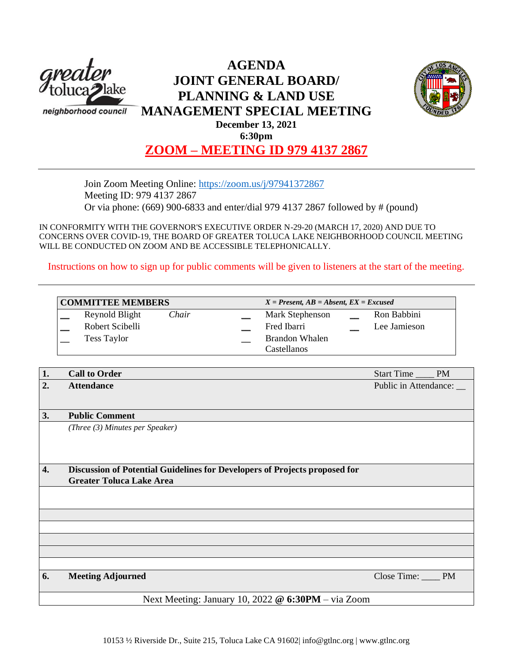

# **AGENDA JOINT GENERAL BOARD/ PLANNING & LAND USE MANAGEMENT SPECIAL MEETING December 13, 2021**



**6:30pm**

**ZOOM – MEETING ID 979 4137 2867**

Join Zoom Meeting Online:<https://zoom.us/j/97941372867> Meeting ID: 979 4137 2867 Or via phone: (669) 900-6833 and enter/dial 979 4137 2867 followed by # (pound)

IN CONFORMITY WITH THE GOVERNOR'S EXECUTIVE ORDER N-29-20 (MARCH 17, 2020) AND DUE TO CONCERNS OVER COVID-19, THE BOARD OF GREATER TOLUCA LAKE NEIGHBORHOOD COUNCIL MEETING WILL BE CONDUCTED ON ZOOM AND BE ACCESSIBLE TELEPHONICALLY.

Instructions on how to sign up for public comments will be given to listeners at the start of the meeting.

| <b>COMMITTEE MEMBERS</b> |                       | $X = Present, AB = Absent, EX = Excused$ |  |
|--------------------------|-----------------------|------------------------------------------|--|
| Reynold Blight<br>Chair  | Mark Stephenson       | Ron Babbini                              |  |
| Robert Scibelli          | Fred Ibarri           | Lee Jamieson                             |  |
| <b>Tess Taylor</b>       | <b>Brandon Whalen</b> |                                          |  |
|                          | Castellanos           |                                          |  |

| 1. | <b>Call to Order</b>                                                       | Start Time            | <b>PM</b> |
|----|----------------------------------------------------------------------------|-----------------------|-----------|
| 2. | <b>Attendance</b>                                                          | Public in Attendance: |           |
|    |                                                                            |                       |           |
| 3. | <b>Public Comment</b>                                                      |                       |           |
|    | (Three (3) Minutes per Speaker)                                            |                       |           |
|    |                                                                            |                       |           |
|    |                                                                            |                       |           |
| 4. | Discussion of Potential Guidelines for Developers of Projects proposed for |                       |           |
|    | <b>Greater Toluca Lake Area</b>                                            |                       |           |
|    |                                                                            |                       |           |
|    |                                                                            |                       |           |
|    |                                                                            |                       |           |
|    |                                                                            |                       |           |
|    |                                                                            |                       |           |
|    |                                                                            |                       |           |
|    |                                                                            |                       |           |
| 6. | <b>Meeting Adjourned</b>                                                   | Close Time: PM        |           |
|    |                                                                            |                       |           |
|    | Next Meeting: January 10, 2022 @ 6:30PM - via Zoom                         |                       |           |